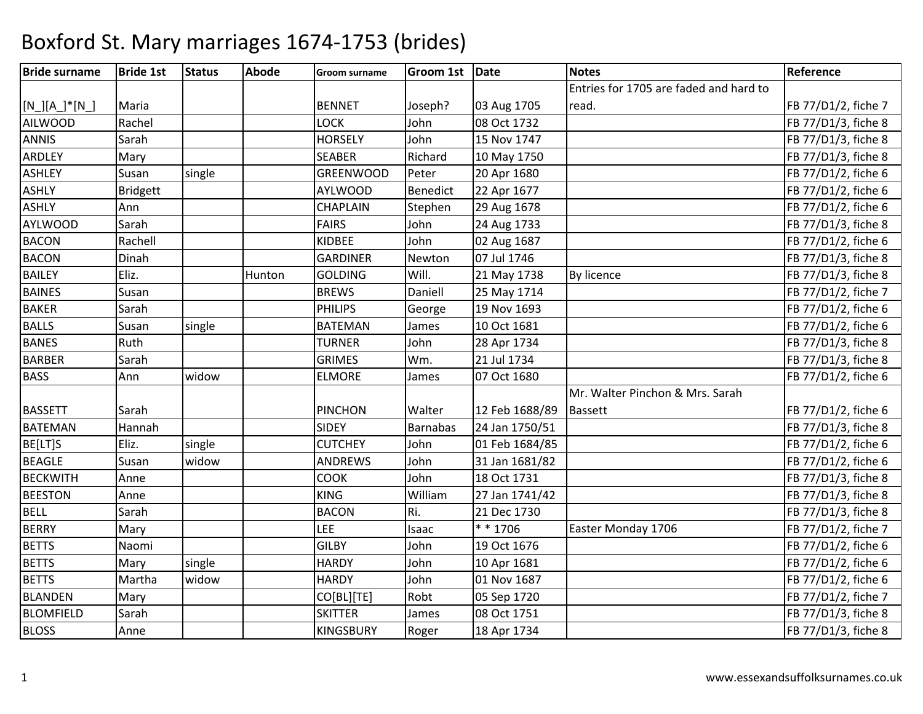| <b>Bride surname</b> | <b>Bride 1st</b> | <b>Status</b> | <b>Abode</b> | Groom surname    | Groom 1st Date  |                | <b>Notes</b>                           | Reference           |
|----------------------|------------------|---------------|--------------|------------------|-----------------|----------------|----------------------------------------|---------------------|
|                      |                  |               |              |                  |                 |                | Entries for 1705 are faded and hard to |                     |
| $[N_.][A_.]^*[N_.]$  | Maria            |               |              | <b>BENNET</b>    | Joseph?         | 03 Aug 1705    | read.                                  | FB 77/D1/2, fiche 7 |
| <b>AILWOOD</b>       | Rachel           |               |              | <b>LOCK</b>      | John            | 08 Oct 1732    |                                        | FB 77/D1/3, fiche 8 |
| <b>ANNIS</b>         | Sarah            |               |              | <b>HORSELY</b>   | John            | 15 Nov 1747    |                                        | FB 77/D1/3, fiche 8 |
| <b>ARDLEY</b>        | Mary             |               |              | <b>SEABER</b>    | Richard         | 10 May 1750    |                                        | FB 77/D1/3, fiche 8 |
| <b>ASHLEY</b>        | Susan            | single        |              | <b>GREENWOOD</b> | Peter           | 20 Apr 1680    |                                        | FB 77/D1/2, fiche 6 |
| <b>ASHLY</b>         | <b>Bridgett</b>  |               |              | <b>AYLWOOD</b>   | Benedict        | 22 Apr 1677    |                                        | FB 77/D1/2, fiche 6 |
| <b>ASHLY</b>         | Ann              |               |              | <b>CHAPLAIN</b>  | Stephen         | 29 Aug 1678    |                                        | FB 77/D1/2, fiche 6 |
| <b>AYLWOOD</b>       | Sarah            |               |              | <b>FAIRS</b>     | John            | 24 Aug 1733    |                                        | FB 77/D1/3, fiche 8 |
| <b>BACON</b>         | Rachell          |               |              | <b>KIDBEE</b>    | John            | 02 Aug 1687    |                                        | FB 77/D1/2, fiche 6 |
| <b>BACON</b>         | Dinah            |               |              | <b>GARDINER</b>  | Newton          | 07 Jul 1746    |                                        | FB 77/D1/3, fiche 8 |
| <b>BAILEY</b>        | Eliz.            |               | Hunton       | <b>GOLDING</b>   | Will.           | 21 May 1738    | By licence                             | FB 77/D1/3, fiche 8 |
| <b>BAINES</b>        | Susan            |               |              | <b>BREWS</b>     | Daniell         | 25 May 1714    |                                        | FB 77/D1/2, fiche 7 |
| <b>BAKER</b>         | Sarah            |               |              | <b>PHILIPS</b>   | George          | 19 Nov 1693    |                                        | FB 77/D1/2, fiche 6 |
| <b>BALLS</b>         | Susan            | single        |              | <b>BATEMAN</b>   | James           | 10 Oct 1681    |                                        | FB 77/D1/2, fiche 6 |
| <b>BANES</b>         | Ruth             |               |              | <b>TURNER</b>    | John            | 28 Apr 1734    |                                        | FB 77/D1/3, fiche 8 |
| <b>BARBER</b>        | Sarah            |               |              | <b>GRIMES</b>    | Wm.             | 21 Jul 1734    |                                        | FB 77/D1/3, fiche 8 |
| <b>BASS</b>          | Ann              | widow         |              | <b>ELMORE</b>    | James           | 07 Oct 1680    |                                        | FB 77/D1/2, fiche 6 |
|                      |                  |               |              |                  |                 |                | Mr. Walter Pinchon & Mrs. Sarah        |                     |
| <b>BASSETT</b>       | Sarah            |               |              | <b>PINCHON</b>   | Walter          | 12 Feb 1688/89 | <b>Bassett</b>                         | FB 77/D1/2, fiche 6 |
| <b>BATEMAN</b>       | Hannah           |               |              | <b>SIDEY</b>     | <b>Barnabas</b> | 24 Jan 1750/51 |                                        | FB 77/D1/3, fiche 8 |
| BE[LT]S              | Eliz.            | single        |              | <b>CUTCHEY</b>   | John            | 01 Feb 1684/85 |                                        | FB 77/D1/2, fiche 6 |
| <b>BEAGLE</b>        | Susan            | widow         |              | <b>ANDREWS</b>   | John            | 31 Jan 1681/82 |                                        | FB 77/D1/2, fiche 6 |
| <b>BECKWITH</b>      | Anne             |               |              | <b>COOK</b>      | John            | 18 Oct 1731    |                                        | FB 77/D1/3, fiche 8 |
| <b>BEESTON</b>       | Anne             |               |              | <b>KING</b>      | William         | 27 Jan 1741/42 |                                        | FB 77/D1/3, fiche 8 |
| <b>BELL</b>          | Sarah            |               |              | <b>BACON</b>     | Ri.             | 21 Dec 1730    |                                        | FB 77/D1/3, fiche 8 |
| <b>BERRY</b>         | Mary             |               |              | <b>LEE</b>       | Isaac           | * * 1706       | Easter Monday 1706                     | FB 77/D1/2, fiche 7 |
| <b>BETTS</b>         | Naomi            |               |              | <b>GILBY</b>     | John            | 19 Oct 1676    |                                        | FB 77/D1/2, fiche 6 |
| <b>BETTS</b>         | Mary             | single        |              | <b>HARDY</b>     | John            | 10 Apr 1681    |                                        | FB 77/D1/2, fiche 6 |
| <b>BETTS</b>         | Martha           | widow         |              | <b>HARDY</b>     | John            | 01 Nov 1687    |                                        | FB 77/D1/2, fiche 6 |
| <b>BLANDEN</b>       | Mary             |               |              | CO[BL][TE]       | Robt            | 05 Sep 1720    |                                        | FB 77/D1/2, fiche 7 |
| <b>BLOMFIELD</b>     | Sarah            |               |              | <b>SKITTER</b>   | James           | 08 Oct 1751    |                                        | FB 77/D1/3, fiche 8 |
| <b>BLOSS</b>         | Anne             |               |              | <b>KINGSBURY</b> | Roger           | 18 Apr 1734    |                                        | FB 77/D1/3, fiche 8 |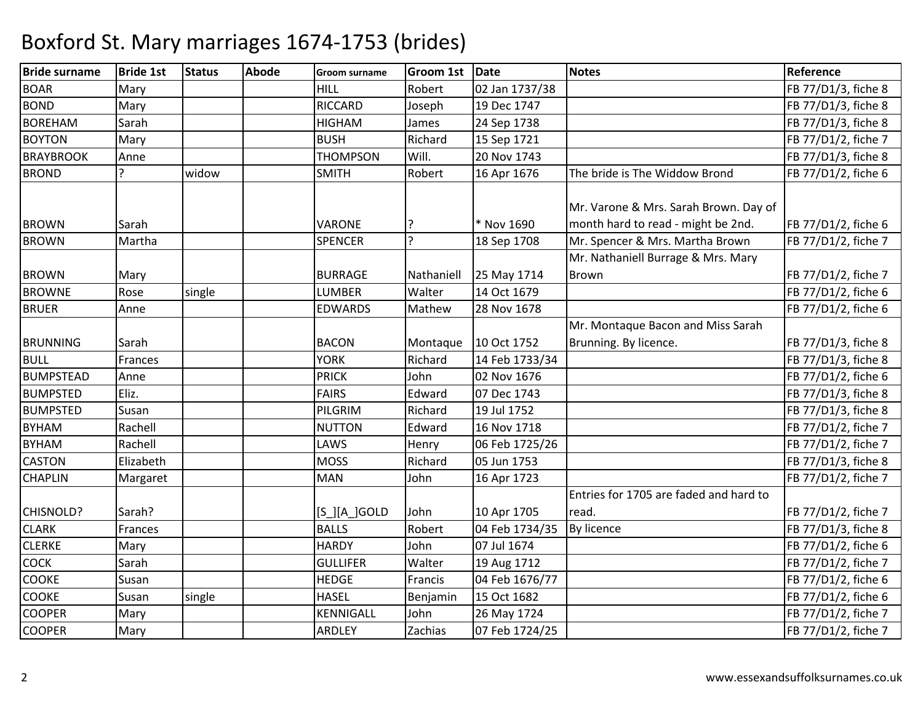| <b>Bride surname</b> | <b>Bride 1st</b> | <b>Status</b> | <b>Abode</b> | <b>Groom surname</b> | <b>Groom 1st</b> | Date           | <b>Notes</b>                           | Reference           |
|----------------------|------------------|---------------|--------------|----------------------|------------------|----------------|----------------------------------------|---------------------|
| <b>BOAR</b>          | Mary             |               |              | HILL                 | Robert           | 02 Jan 1737/38 |                                        | FB 77/D1/3, fiche 8 |
| <b>BOND</b>          | Mary             |               |              | <b>RICCARD</b>       | Joseph           | 19 Dec 1747    |                                        | FB 77/D1/3, fiche 8 |
| <b>BOREHAM</b>       | Sarah            |               |              | <b>HIGHAM</b>        | James            | 24 Sep 1738    |                                        | FB 77/D1/3, fiche 8 |
| <b>BOYTON</b>        | Mary             |               |              | <b>BUSH</b>          | Richard          | 15 Sep 1721    |                                        | FB 77/D1/2, fiche 7 |
| <b>BRAYBROOK</b>     | Anne             |               |              | <b>THOMPSON</b>      | Will.            | 20 Nov 1743    |                                        | FB 77/D1/3, fiche 8 |
| <b>BROND</b>         | 7                | widow         |              | <b>SMITH</b>         | Robert           | 16 Apr 1676    | The bride is The Widdow Brond          | FB 77/D1/2, fiche 6 |
|                      |                  |               |              |                      |                  |                |                                        |                     |
|                      |                  |               |              |                      |                  |                | Mr. Varone & Mrs. Sarah Brown. Day of  |                     |
| <b>BROWN</b>         | Sarah            |               |              | VARONE               |                  | * Nov 1690     | month hard to read - might be 2nd.     | FB 77/D1/2, fiche 6 |
| <b>BROWN</b>         | Martha           |               |              | <b>SPENCER</b>       | $\overline{?}$   | 18 Sep 1708    | Mr. Spencer & Mrs. Martha Brown        | FB 77/D1/2, fiche 7 |
|                      |                  |               |              |                      |                  |                | Mr. Nathaniell Burrage & Mrs. Mary     |                     |
| <b>BROWN</b>         | Mary             |               |              | <b>BURRAGE</b>       | Nathaniell       | 25 May 1714    | Brown                                  | FB 77/D1/2, fiche 7 |
| <b>BROWNE</b>        | Rose             | single        |              | <b>LUMBER</b>        | Walter           | 14 Oct 1679    |                                        | FB 77/D1/2, fiche 6 |
| <b>BRUER</b>         | Anne             |               |              | <b>EDWARDS</b>       | Mathew           | 28 Nov 1678    |                                        | FB 77/D1/2, fiche 6 |
|                      |                  |               |              |                      |                  |                | Mr. Montaque Bacon and Miss Sarah      |                     |
| <b>BRUNNING</b>      | Sarah            |               |              | <b>BACON</b>         | Montaque         | 10 Oct 1752    | Brunning. By licence.                  | FB 77/D1/3, fiche 8 |
| <b>BULL</b>          | Frances          |               |              | <b>YORK</b>          | Richard          | 14 Feb 1733/34 |                                        | FB 77/D1/3, fiche 8 |
| <b>BUMPSTEAD</b>     | Anne             |               |              | <b>PRICK</b>         | John             | 02 Nov 1676    |                                        | FB 77/D1/2, fiche 6 |
| <b>BUMPSTED</b>      | Eliz.            |               |              | <b>FAIRS</b>         | Edward           | 07 Dec 1743    |                                        | FB 77/D1/3, fiche 8 |
| <b>BUMPSTED</b>      | Susan            |               |              | PILGRIM              | Richard          | 19 Jul 1752    |                                        | FB 77/D1/3, fiche 8 |
| <b>BYHAM</b>         | Rachell          |               |              | <b>NUTTON</b>        | Edward           | 16 Nov 1718    |                                        | FB 77/D1/2, fiche 7 |
| <b>BYHAM</b>         | Rachell          |               |              | LAWS                 | Henry            | 06 Feb 1725/26 |                                        | FB 77/D1/2, fiche 7 |
| <b>CASTON</b>        | Elizabeth        |               |              | <b>MOSS</b>          | Richard          | 05 Jun 1753    |                                        | FB 77/D1/3, fiche 8 |
| <b>CHAPLIN</b>       | Margaret         |               |              | <b>MAN</b>           | John             | 16 Apr 1723    |                                        | FB 77/D1/2, fiche 7 |
|                      |                  |               |              |                      |                  |                | Entries for 1705 are faded and hard to |                     |
| <b>CHISNOLD?</b>     | Sarah?           |               |              | $[S_$ $[A_$ GOLD     | John             | 10 Apr 1705    | read.                                  | FB 77/D1/2, fiche 7 |
| <b>CLARK</b>         | Frances          |               |              | <b>BALLS</b>         | Robert           | 04 Feb 1734/35 | <b>By licence</b>                      | FB 77/D1/3, fiche 8 |
| <b>CLERKE</b>        | Mary             |               |              | <b>HARDY</b>         | John             | 07 Jul 1674    |                                        | FB 77/D1/2, fiche 6 |
| <b>COCK</b>          | Sarah            |               |              | <b>GULLIFER</b>      | Walter           | 19 Aug 1712    |                                        | FB 77/D1/2, fiche 7 |
| <b>COOKE</b>         | Susan            |               |              | <b>HEDGE</b>         | Francis          | 04 Feb 1676/77 |                                        | FB 77/D1/2, fiche 6 |
| <b>COOKE</b>         | Susan            | single        |              | <b>HASEL</b>         | Benjamin         | 15 Oct 1682    |                                        | FB 77/D1/2, fiche 6 |
| <b>COOPER</b>        | Mary             |               |              | KENNIGALL            | John             | 26 May 1724    |                                        | FB 77/D1/2, fiche 7 |
| <b>COOPER</b>        | Mary             |               |              | <b>ARDLEY</b>        | Zachias          | 07 Feb 1724/25 |                                        | FB 77/D1/2, fiche 7 |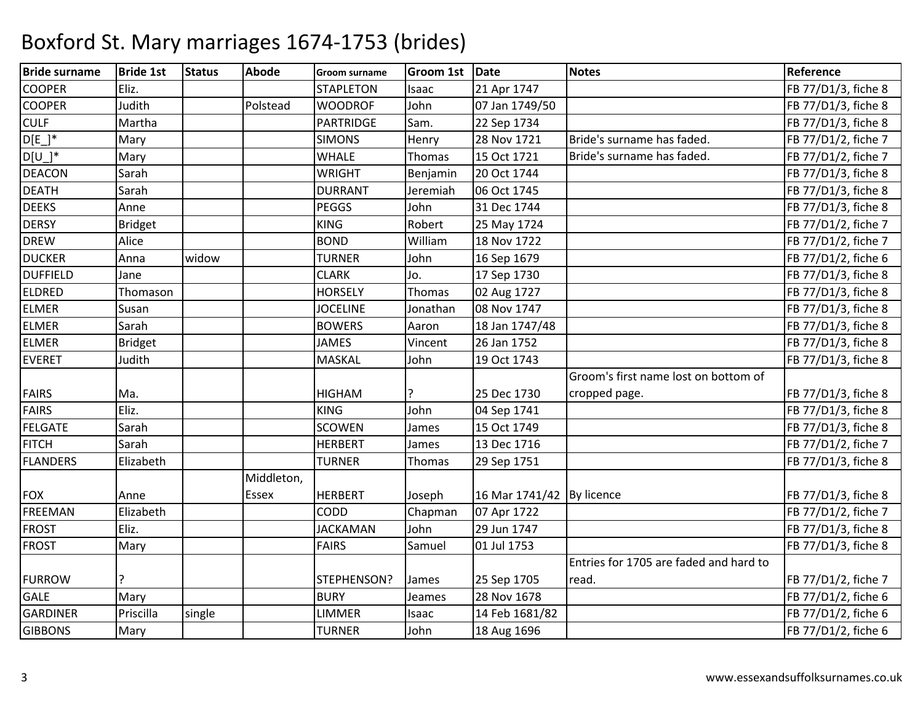| <b>Bride surname</b> | <b>Bride 1st</b> | <b>Status</b> | <b>Abode</b> | <b>Groom surname</b> | <b>Groom 1st</b> | Date                        | <b>Notes</b>                           | Reference           |
|----------------------|------------------|---------------|--------------|----------------------|------------------|-----------------------------|----------------------------------------|---------------------|
| <b>COOPER</b>        | Eliz.            |               |              | <b>STAPLETON</b>     | Isaac            | 21 Apr 1747                 |                                        | FB 77/D1/3, fiche 8 |
| <b>COOPER</b>        | Judith           |               | Polstead     | <b>WOODROF</b>       | John             | 07 Jan 1749/50              |                                        | FB 77/D1/3, fiche 8 |
| <b>CULF</b>          | Martha           |               |              | <b>PARTRIDGE</b>     | Sam.             | 22 Sep 1734                 |                                        | FB 77/D1/3, fiche 8 |
| $D[E]$ *             | Mary             |               |              | <b>SIMONS</b>        | Henry            | 28 Nov 1721                 | Bride's surname has faded.             | FB 77/D1/2, fiche 7 |
| $D[U_$ <sup>*</sup>  | Mary             |               |              | <b>WHALE</b>         | Thomas           | 15 Oct 1721                 | Bride's surname has faded.             | FB 77/D1/2, fiche 7 |
| <b>DEACON</b>        | Sarah            |               |              | <b>WRIGHT</b>        | Benjamin         | 20 Oct 1744                 |                                        | FB 77/D1/3, fiche 8 |
| <b>DEATH</b>         | Sarah            |               |              | <b>DURRANT</b>       | Jeremiah         | 06 Oct 1745                 |                                        | FB 77/D1/3, fiche 8 |
| <b>DEEKS</b>         | Anne             |               |              | <b>PEGGS</b>         | John             | 31 Dec 1744                 |                                        | FB 77/D1/3, fiche 8 |
| <b>DERSY</b>         | <b>Bridget</b>   |               |              | <b>KING</b>          | Robert           | 25 May 1724                 |                                        | FB 77/D1/2, fiche 7 |
| <b>DREW</b>          | Alice            |               |              | <b>BOND</b>          | William          | 18 Nov 1722                 |                                        | FB 77/D1/2, fiche 7 |
| <b>DUCKER</b>        | Anna             | widow         |              | <b>TURNER</b>        | John             | 16 Sep 1679                 |                                        | FB 77/D1/2, fiche 6 |
| <b>DUFFIELD</b>      | Jane             |               |              | <b>CLARK</b>         | Jo.              | 17 Sep 1730                 |                                        | FB 77/D1/3, fiche 8 |
| <b>ELDRED</b>        | Thomason         |               |              | <b>HORSELY</b>       | Thomas           | 02 Aug 1727                 |                                        | FB 77/D1/3, fiche 8 |
| <b>ELMER</b>         | Susan            |               |              | <b>JOCELINE</b>      | Jonathan         | 08 Nov 1747                 |                                        | FB 77/D1/3, fiche 8 |
| <b>ELMER</b>         | Sarah            |               |              | <b>BOWERS</b>        | Aaron            | 18 Jan 1747/48              |                                        | FB 77/D1/3, fiche 8 |
| <b>ELMER</b>         | <b>Bridget</b>   |               |              | <b>JAMES</b>         | Vincent          | 26 Jan 1752                 |                                        | FB 77/D1/3, fiche 8 |
| <b>EVERET</b>        | Judith           |               |              | <b>MASKAL</b>        | John             | 19 Oct 1743                 |                                        | FB 77/D1/3, fiche 8 |
|                      |                  |               |              |                      |                  |                             | Groom's first name lost on bottom of   |                     |
| <b>FAIRS</b>         | Ma.              |               |              | <b>HIGHAM</b>        | ?                | 25 Dec 1730                 | cropped page.                          | FB 77/D1/3, fiche 8 |
| <b>FAIRS</b>         | Eliz.            |               |              | <b>KING</b>          | John             | 04 Sep 1741                 |                                        | FB 77/D1/3, fiche 8 |
| <b>FELGATE</b>       | Sarah            |               |              | <b>SCOWEN</b>        | James            | 15 Oct 1749                 |                                        | FB 77/D1/3, fiche 8 |
| <b>FITCH</b>         | Sarah            |               |              | <b>HERBERT</b>       | James            | 13 Dec 1716                 |                                        | FB 77/D1/2, fiche 7 |
| <b>FLANDERS</b>      | Elizabeth        |               |              | <b>TURNER</b>        | Thomas           | 29 Sep 1751                 |                                        | FB 77/D1/3, fiche 8 |
|                      |                  |               | Middleton,   |                      |                  |                             |                                        |                     |
| <b>FOX</b>           | Anne             |               | Essex        | <b>HERBERT</b>       | Joseph           | 16 Mar 1741/42   By licence |                                        | FB 77/D1/3, fiche 8 |
| <b>FREEMAN</b>       | Elizabeth        |               |              | CODD                 | Chapman          | 07 Apr 1722                 |                                        | FB 77/D1/2, fiche 7 |
| <b>FROST</b>         | Eliz.            |               |              | <b>JACKAMAN</b>      | John             | 29 Jun 1747                 |                                        | FB 77/D1/3, fiche 8 |
| <b>FROST</b>         | Mary             |               |              | <b>FAIRS</b>         | Samuel           | 01 Jul 1753                 |                                        | FB 77/D1/3, fiche 8 |
|                      |                  |               |              |                      |                  |                             | Entries for 1705 are faded and hard to |                     |
| <b>FURROW</b>        |                  |               |              | STEPHENSON?          | James            | 25 Sep 1705                 | read.                                  | FB 77/D1/2, fiche 7 |
| <b>GALE</b>          | Mary             |               |              | <b>BURY</b>          | Jeames           | 28 Nov 1678                 |                                        | FB 77/D1/2, fiche 6 |
| <b>GARDINER</b>      | Priscilla        | single        |              | <b>LIMMER</b>        | Isaac            | 14 Feb 1681/82              |                                        | FB 77/D1/2, fiche 6 |
| <b>GIBBONS</b>       | Mary             |               |              | <b>TURNER</b>        | John             | 18 Aug 1696                 |                                        | FB 77/D1/2, fiche 6 |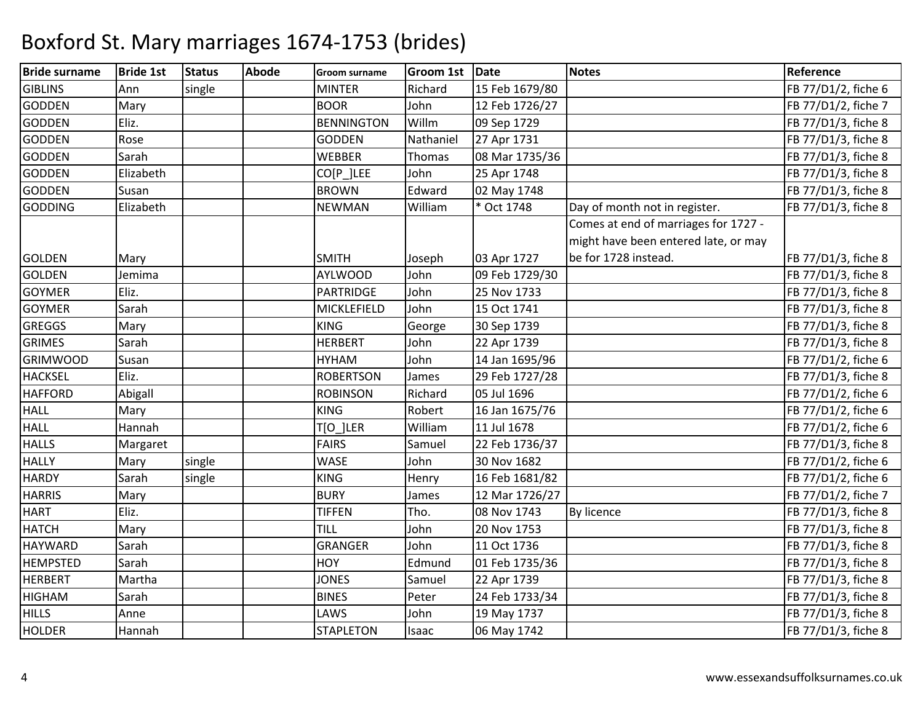| <b>Bride surname</b> | <b>Bride 1st</b> | <b>Status</b> | <b>Abode</b> | <b>Groom surname</b> | <b>Groom 1st</b> | Date           | <b>Notes</b>                         | Reference           |
|----------------------|------------------|---------------|--------------|----------------------|------------------|----------------|--------------------------------------|---------------------|
| <b>GIBLINS</b>       | Ann              | single        |              | <b>MINTER</b>        | Richard          | 15 Feb 1679/80 |                                      | FB 77/D1/2, fiche 6 |
| <b>GODDEN</b>        | Mary             |               |              | <b>BOOR</b>          | John             | 12 Feb 1726/27 |                                      | FB 77/D1/2, fiche 7 |
| <b>GODDEN</b>        | Eliz.            |               |              | <b>BENNINGTON</b>    | Willm            | 09 Sep 1729    |                                      | FB 77/D1/3, fiche 8 |
| <b>GODDEN</b>        | Rose             |               |              | <b>GODDEN</b>        | Nathaniel        | 27 Apr 1731    |                                      | FB 77/D1/3, fiche 8 |
| <b>GODDEN</b>        | Sarah            |               |              | <b>WEBBER</b>        | Thomas           | 08 Mar 1735/36 |                                      | FB 77/D1/3, fiche 8 |
| <b>GODDEN</b>        | Elizabeth        |               |              | CO[P]LEE             | John             | 25 Apr 1748    |                                      | FB 77/D1/3, fiche 8 |
| <b>GODDEN</b>        | Susan            |               |              | <b>BROWN</b>         | Edward           | 02 May 1748    |                                      | FB 77/D1/3, fiche 8 |
| <b>GODDING</b>       | Elizabeth        |               |              | <b>NEWMAN</b>        | William          | * Oct 1748     | Day of month not in register.        | FB 77/D1/3, fiche 8 |
|                      |                  |               |              |                      |                  |                | Comes at end of marriages for 1727 - |                     |
|                      |                  |               |              |                      |                  |                | might have been entered late, or may |                     |
| <b>GOLDEN</b>        | Mary             |               |              | <b>SMITH</b>         | Joseph           | 03 Apr 1727    | be for 1728 instead.                 | FB 77/D1/3, fiche 8 |
| <b>GOLDEN</b>        | Jemima           |               |              | <b>AYLWOOD</b>       | John             | 09 Feb 1729/30 |                                      | FB 77/D1/3, fiche 8 |
| <b>GOYMER</b>        | Eliz.            |               |              | <b>PARTRIDGE</b>     | John             | 25 Nov 1733    |                                      | FB 77/D1/3, fiche 8 |
| <b>GOYMER</b>        | Sarah            |               |              | MICKLEFIELD          | John             | 15 Oct 1741    |                                      | FB 77/D1/3, fiche 8 |
| <b>GREGGS</b>        | Mary             |               |              | <b>KING</b>          | George           | 30 Sep 1739    |                                      | FB 77/D1/3, fiche 8 |
| <b>GRIMES</b>        | Sarah            |               |              | <b>HERBERT</b>       | John             | 22 Apr 1739    |                                      | FB 77/D1/3, fiche 8 |
| <b>GRIMWOOD</b>      | Susan            |               |              | HYHAM                | John             | 14 Jan 1695/96 |                                      | FB 77/D1/2, fiche 6 |
| <b>HACKSEL</b>       | Eliz.            |               |              | <b>ROBERTSON</b>     | James            | 29 Feb 1727/28 |                                      | FB 77/D1/3, fiche 8 |
| <b>HAFFORD</b>       | Abigall          |               |              | <b>ROBINSON</b>      | Richard          | 05 Jul 1696    |                                      | FB 77/D1/2, fiche 6 |
| <b>HALL</b>          | Mary             |               |              | <b>KING</b>          | Robert           | 16 Jan 1675/76 |                                      | FB 77/D1/2, fiche 6 |
| <b>HALL</b>          | Hannah           |               |              | T[O_]LER             | William          | 11 Jul 1678    |                                      | FB 77/D1/2, fiche 6 |
| <b>HALLS</b>         | Margaret         |               |              | <b>FAIRS</b>         | Samuel           | 22 Feb 1736/37 |                                      | FB 77/D1/3, fiche 8 |
| <b>HALLY</b>         | Mary             | single        |              | <b>WASE</b>          | John             | 30 Nov 1682    |                                      | FB 77/D1/2, fiche 6 |
| <b>HARDY</b>         | Sarah            | single        |              | <b>KING</b>          | Henry            | 16 Feb 1681/82 |                                      | FB 77/D1/2, fiche 6 |
| <b>HARRIS</b>        | Mary             |               |              | <b>BURY</b>          | James            | 12 Mar 1726/27 |                                      | FB 77/D1/2, fiche 7 |
| <b>HART</b>          | Eliz.            |               |              | <b>TIFFEN</b>        | Tho.             | 08 Nov 1743    | By licence                           | FB 77/D1/3, fiche 8 |
| <b>HATCH</b>         | Mary             |               |              | <b>TILL</b>          | John             | 20 Nov 1753    |                                      | FB 77/D1/3, fiche 8 |
| <b>HAYWARD</b>       | Sarah            |               |              | <b>GRANGER</b>       | John             | 11 Oct 1736    |                                      | FB 77/D1/3, fiche 8 |
| <b>HEMPSTED</b>      | Sarah            |               |              | <b>HOY</b>           | Edmund           | 01 Feb 1735/36 |                                      | FB 77/D1/3, fiche 8 |
| <b>HERBERT</b>       | Martha           |               |              | <b>JONES</b>         | Samuel           | 22 Apr 1739    |                                      | FB 77/D1/3, fiche 8 |
| <b>HIGHAM</b>        | Sarah            |               |              | <b>BINES</b>         | Peter            | 24 Feb 1733/34 |                                      | FB 77/D1/3, fiche 8 |
| <b>HILLS</b>         | Anne             |               |              | LAWS                 | John             | 19 May 1737    |                                      | FB 77/D1/3, fiche 8 |
| <b>HOLDER</b>        | Hannah           |               |              | <b>STAPLETON</b>     | Isaac            | 06 May 1742    |                                      | FB 77/D1/3, fiche 8 |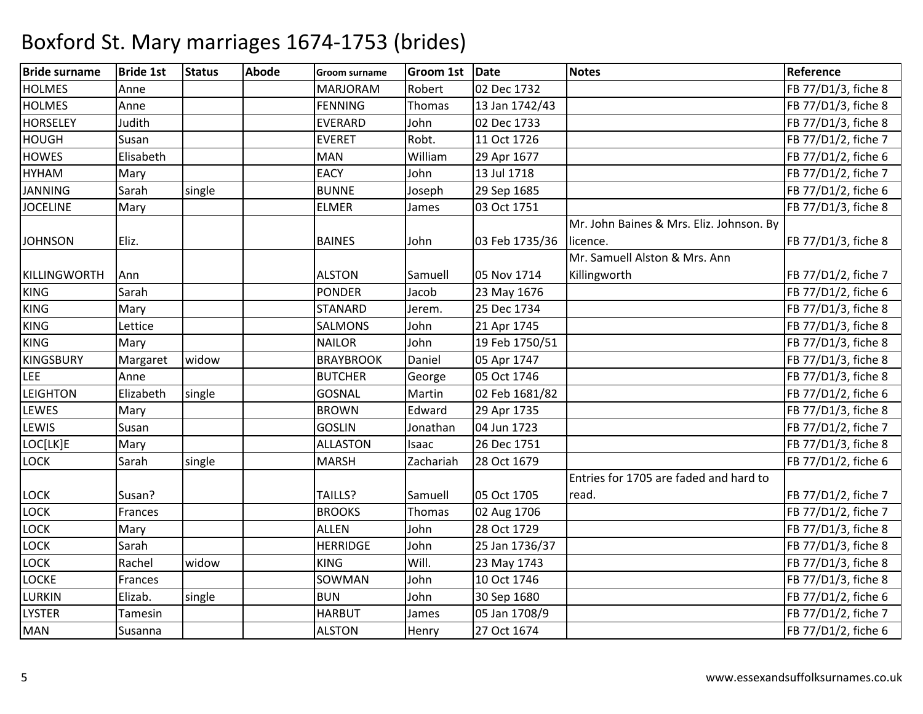| <b>Bride surname</b> | <b>Bride 1st</b> | <b>Status</b> | <b>Abode</b> | <b>Groom surname</b> | <b>Groom 1st</b> | Date           | <b>Notes</b>                             | Reference           |
|----------------------|------------------|---------------|--------------|----------------------|------------------|----------------|------------------------------------------|---------------------|
| <b>HOLMES</b>        | Anne             |               |              | <b>MARJORAM</b>      | Robert           | 02 Dec 1732    |                                          | FB 77/D1/3, fiche 8 |
| <b>HOLMES</b>        | Anne             |               |              | <b>FENNING</b>       | Thomas           | 13 Jan 1742/43 |                                          | FB 77/D1/3, fiche 8 |
| <b>HORSELEY</b>      | Judith           |               |              | <b>EVERARD</b>       | John             | 02 Dec 1733    |                                          | FB 77/D1/3, fiche 8 |
| <b>HOUGH</b>         | Susan            |               |              | <b>EVERET</b>        | Robt.            | 11 Oct 1726    |                                          | FB 77/D1/2, fiche 7 |
| <b>HOWES</b>         | Elisabeth        |               |              | <b>MAN</b>           | William          | 29 Apr 1677    |                                          | FB 77/D1/2, fiche 6 |
| <b>HYHAM</b>         | Mary             |               |              | <b>EACY</b>          | John             | 13 Jul 1718    |                                          | FB 77/D1/2, fiche 7 |
| <b>JANNING</b>       | Sarah            | single        |              | <b>BUNNE</b>         | Joseph           | 29 Sep 1685    |                                          | FB 77/D1/2, fiche 6 |
| <b>JOCELINE</b>      | Mary             |               |              | <b>ELMER</b>         | James            | 03 Oct 1751    |                                          | FB 77/D1/3, fiche 8 |
|                      |                  |               |              |                      |                  |                | Mr. John Baines & Mrs. Eliz. Johnson. By |                     |
| <b>JOHNSON</b>       | Eliz.            |               |              | <b>BAINES</b>        | John             | 03 Feb 1735/36 | licence.                                 | FB 77/D1/3, fiche 8 |
|                      |                  |               |              |                      |                  |                | Mr. Samuell Alston & Mrs. Ann            |                     |
| KILLINGWORTH         | Ann              |               |              | <b>ALSTON</b>        | Samuell          | 05 Nov 1714    | Killingworth                             | FB 77/D1/2, fiche 7 |
| <b>KING</b>          | Sarah            |               |              | <b>PONDER</b>        | Jacob            | 23 May 1676    |                                          | FB 77/D1/2, fiche 6 |
| <b>KING</b>          | Mary             |               |              | <b>STANARD</b>       | Jerem.           | 25 Dec 1734    |                                          | FB 77/D1/3, fiche 8 |
| <b>KING</b>          | Lettice          |               |              | <b>SALMONS</b>       | John             | 21 Apr 1745    |                                          | FB 77/D1/3, fiche 8 |
| <b>KING</b>          | Mary             |               |              | <b>NAILOR</b>        | John             | 19 Feb 1750/51 |                                          | FB 77/D1/3, fiche 8 |
| <b>KINGSBURY</b>     | Margaret         | widow         |              | <b>BRAYBROOK</b>     | Daniel           | 05 Apr 1747    |                                          | FB 77/D1/3, fiche 8 |
| LEE                  | Anne             |               |              | <b>BUTCHER</b>       | George           | 05 Oct 1746    |                                          | FB 77/D1/3, fiche 8 |
| LEIGHTON             | Elizabeth        | single        |              | <b>GOSNAL</b>        | Martin           | 02 Feb 1681/82 |                                          | FB 77/D1/2, fiche 6 |
| <b>LEWES</b>         | Mary             |               |              | <b>BROWN</b>         | Edward           | 29 Apr 1735    |                                          | FB 77/D1/3, fiche 8 |
| <b>LEWIS</b>         | Susan            |               |              | <b>GOSLIN</b>        | Jonathan         | 04 Jun 1723    |                                          | FB 77/D1/2, fiche 7 |
| LOC[LK]E             | Mary             |               |              | <b>ALLASTON</b>      | Isaac            | 26 Dec 1751    |                                          | FB 77/D1/3, fiche 8 |
| <b>LOCK</b>          | Sarah            | single        |              | <b>MARSH</b>         | Zachariah        | 28 Oct 1679    |                                          | FB 77/D1/2, fiche 6 |
|                      |                  |               |              |                      |                  |                | Entries for 1705 are faded and hard to   |                     |
| LOCK                 | Susan?           |               |              | TAILLS?              | Samuell          | 05 Oct 1705    | read.                                    | FB 77/D1/2, fiche 7 |
| <b>LOCK</b>          | Frances          |               |              | <b>BROOKS</b>        | Thomas           | 02 Aug 1706    |                                          | FB 77/D1/2, fiche 7 |
| LOCK                 | Mary             |               |              | <b>ALLEN</b>         | John             | 28 Oct 1729    |                                          | FB 77/D1/3, fiche 8 |
| <b>LOCK</b>          | Sarah            |               |              | <b>HERRIDGE</b>      | John             | 25 Jan 1736/37 |                                          | FB 77/D1/3, fiche 8 |
| <b>LOCK</b>          | Rachel           | widow         |              | <b>KING</b>          | Will.            | 23 May 1743    |                                          | FB 77/D1/3, fiche 8 |
| <b>LOCKE</b>         | Frances          |               |              | SOWMAN               | John             | 10 Oct 1746    |                                          | FB 77/D1/3, fiche 8 |
| <b>LURKIN</b>        | Elizab.          | single        |              | <b>BUN</b>           | John             | 30 Sep 1680    |                                          | FB 77/D1/2, fiche 6 |
| <b>LYSTER</b>        | <b>Tamesin</b>   |               |              | <b>HARBUT</b>        | James            | 05 Jan 1708/9  |                                          | FB 77/D1/2, fiche 7 |
| <b>MAN</b>           | Susanna          |               |              | <b>ALSTON</b>        | Henry            | 27 Oct 1674    |                                          | FB 77/D1/2, fiche 6 |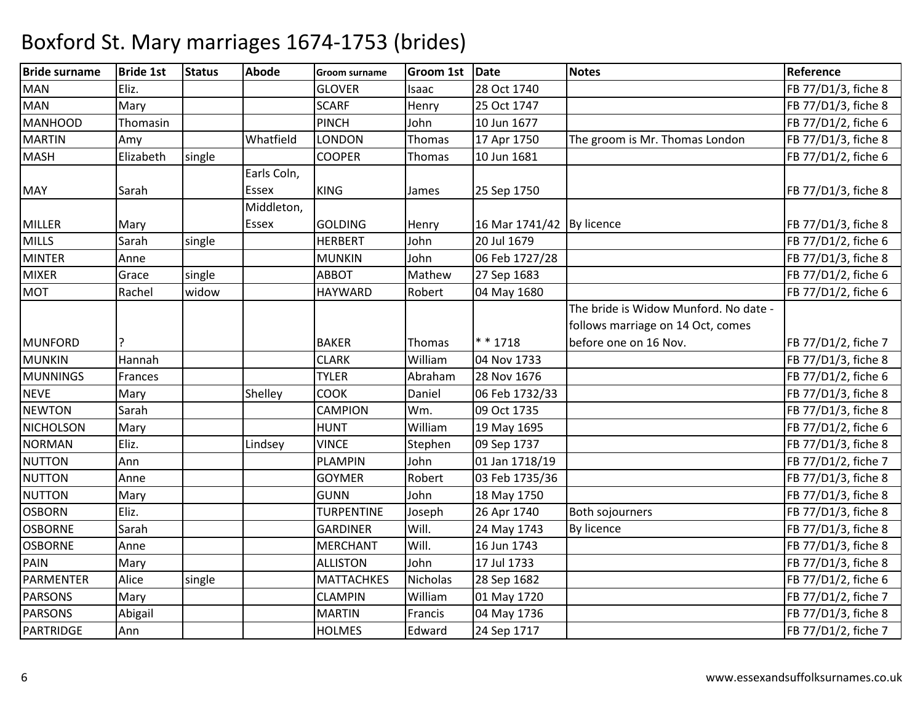| <b>Bride surname</b> | <b>Bride 1st</b> | <b>Status</b> | <b>Abode</b> | <b>Groom surname</b> | <b>Groom 1st</b> | Date                        | <b>Notes</b>                          | Reference           |
|----------------------|------------------|---------------|--------------|----------------------|------------------|-----------------------------|---------------------------------------|---------------------|
| <b>MAN</b>           | Eliz.            |               |              | <b>GLOVER</b>        | Isaac            | 28 Oct 1740                 |                                       | FB 77/D1/3, fiche 8 |
| <b>MAN</b>           | Mary             |               |              | <b>SCARF</b>         | Henry            | 25 Oct 1747                 |                                       | FB 77/D1/3, fiche 8 |
| <b>MANHOOD</b>       | Thomasin         |               |              | <b>PINCH</b>         | John             | 10 Jun 1677                 |                                       | FB 77/D1/2, fiche 6 |
| <b>MARTIN</b>        | Amy              |               | Whatfield    | <b>LONDON</b>        | Thomas           | 17 Apr 1750                 | The groom is Mr. Thomas London        | FB 77/D1/3, fiche 8 |
| <b>MASH</b>          | Elizabeth        | single        |              | <b>COOPER</b>        | Thomas           | 10 Jun 1681                 |                                       | FB 77/D1/2, fiche 6 |
|                      |                  |               | Earls Coln,  |                      |                  |                             |                                       |                     |
| <b>MAY</b>           | Sarah            |               | <b>Essex</b> | <b>KING</b>          | James            | 25 Sep 1750                 |                                       | FB 77/D1/3, fiche 8 |
|                      |                  |               | Middleton,   |                      |                  |                             |                                       |                     |
| <b>MILLER</b>        | Mary             |               | Essex        | <b>GOLDING</b>       | Henry            | 16 Mar 1741/42   By licence |                                       | FB 77/D1/3, fiche 8 |
| <b>MILLS</b>         | Sarah            | single        |              | <b>HERBERT</b>       | John             | 20 Jul 1679                 |                                       | FB 77/D1/2, fiche 6 |
| <b>MINTER</b>        | Anne             |               |              | <b>MUNKIN</b>        | John             | 06 Feb 1727/28              |                                       | FB 77/D1/3, fiche 8 |
| <b>MIXER</b>         | Grace            | single        |              | <b>ABBOT</b>         | Mathew           | 27 Sep 1683                 |                                       | FB 77/D1/2, fiche 6 |
| <b>MOT</b>           | Rachel           | widow         |              | <b>HAYWARD</b>       | Robert           | 04 May 1680                 |                                       | FB 77/D1/2, fiche 6 |
|                      |                  |               |              |                      |                  |                             | The bride is Widow Munford. No date - |                     |
|                      |                  |               |              |                      |                  |                             | follows marriage on 14 Oct, comes     |                     |
| <b>MUNFORD</b>       |                  |               |              | <b>BAKER</b>         | Thomas           | $* * 1718$                  | before one on 16 Nov.                 | FB 77/D1/2, fiche 7 |
| <b>MUNKIN</b>        | Hannah           |               |              | <b>CLARK</b>         | William          | 04 Nov 1733                 |                                       | FB 77/D1/3, fiche 8 |
| <b>MUNNINGS</b>      | Frances          |               |              | <b>TYLER</b>         | Abraham          | 28 Nov 1676                 |                                       | FB 77/D1/2, fiche 6 |
| <b>NEVE</b>          | Mary             |               | Shelley      | <b>COOK</b>          | Daniel           | 06 Feb 1732/33              |                                       | FB 77/D1/3, fiche 8 |
| <b>NEWTON</b>        | Sarah            |               |              | <b>CAMPION</b>       | Wm.              | 09 Oct 1735                 |                                       | FB 77/D1/3, fiche 8 |
| <b>NICHOLSON</b>     | Mary             |               |              | <b>HUNT</b>          | William          | 19 May 1695                 |                                       | FB 77/D1/2, fiche 6 |
| <b>NORMAN</b>        | Eliz.            |               | Lindsey      | <b>VINCE</b>         | Stephen          | 09 Sep 1737                 |                                       | FB 77/D1/3, fiche 8 |
| <b>NUTTON</b>        | Ann              |               |              | <b>PLAMPIN</b>       | John             | 01 Jan 1718/19              |                                       | FB 77/D1/2, fiche 7 |
| <b>NUTTON</b>        | Anne             |               |              | <b>GOYMER</b>        | Robert           | 03 Feb 1735/36              |                                       | FB 77/D1/3, fiche 8 |
| <b>NUTTON</b>        | Mary             |               |              | <b>GUNN</b>          | John             | 18 May 1750                 |                                       | FB 77/D1/3, fiche 8 |
| <b>OSBORN</b>        | Eliz.            |               |              | <b>TURPENTINE</b>    | Joseph           | 26 Apr 1740                 | <b>Both sojourners</b>                | FB 77/D1/3, fiche 8 |
| <b>OSBORNE</b>       | Sarah            |               |              | <b>GARDINER</b>      | Will.            | 24 May 1743                 | By licence                            | FB 77/D1/3, fiche 8 |
| <b>OSBORNE</b>       | Anne             |               |              | <b>MERCHANT</b>      | Will.            | 16 Jun 1743                 |                                       | FB 77/D1/3, fiche 8 |
| PAIN                 | Mary             |               |              | <b>ALLISTON</b>      | John             | 17 Jul 1733                 |                                       | FB 77/D1/3, fiche 8 |
| PARMENTER            | Alice            | single        |              | <b>MATTACHKES</b>    | Nicholas         | 28 Sep 1682                 |                                       | FB 77/D1/2, fiche 6 |
| <b>PARSONS</b>       | Mary             |               |              | <b>CLAMPIN</b>       | William          | 01 May 1720                 |                                       | FB 77/D1/2, fiche 7 |
| <b>PARSONS</b>       | Abigail          |               |              | <b>MARTIN</b>        | Francis          | 04 May 1736                 |                                       | FB 77/D1/3, fiche 8 |
| <b>PARTRIDGE</b>     | Ann              |               |              | <b>HOLMES</b>        | Edward           | 24 Sep 1717                 |                                       | FB 77/D1/2, fiche 7 |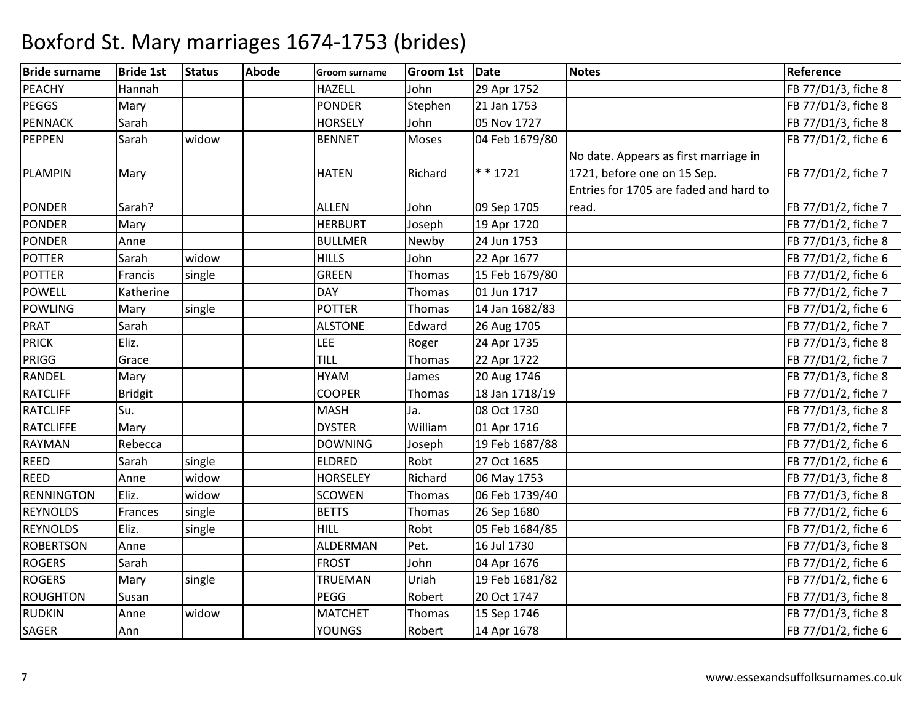| <b>Bride surname</b> | <b>Bride 1st</b> | <b>Status</b> | <b>Abode</b> | <b>Groom surname</b> | <b>Groom 1st</b> | Date           | <b>Notes</b>                           | Reference           |
|----------------------|------------------|---------------|--------------|----------------------|------------------|----------------|----------------------------------------|---------------------|
| <b>PEACHY</b>        | Hannah           |               |              | <b>HAZELL</b>        | John             | 29 Apr 1752    |                                        | FB 77/D1/3, fiche 8 |
| <b>PEGGS</b>         | Mary             |               |              | <b>PONDER</b>        | Stephen          | 21 Jan 1753    |                                        | FB 77/D1/3, fiche 8 |
| <b>PENNACK</b>       | Sarah            |               |              | <b>HORSELY</b>       | John             | 05 Nov 1727    |                                        | FB 77/D1/3, fiche 8 |
| <b>PEPPEN</b>        | Sarah            | widow         |              | <b>BENNET</b>        | Moses            | 04 Feb 1679/80 |                                        | FB 77/D1/2, fiche 6 |
|                      |                  |               |              |                      |                  |                | No date. Appears as first marriage in  |                     |
| <b>PLAMPIN</b>       | Mary             |               |              | <b>HATEN</b>         | Richard          | $* * 1721$     | 1721, before one on 15 Sep.            | FB 77/D1/2, fiche 7 |
|                      |                  |               |              |                      |                  |                | Entries for 1705 are faded and hard to |                     |
| <b>PONDER</b>        | Sarah?           |               |              | <b>ALLEN</b>         | John             | 09 Sep 1705    | read.                                  | FB 77/D1/2, fiche 7 |
| <b>PONDER</b>        | Mary             |               |              | <b>HERBURT</b>       | Joseph           | 19 Apr 1720    |                                        | FB 77/D1/2, fiche 7 |
| <b>PONDER</b>        | Anne             |               |              | <b>BULLMER</b>       | Newby            | 24 Jun 1753    |                                        | FB 77/D1/3, fiche 8 |
| <b>POTTER</b>        | Sarah            | widow         |              | <b>HILLS</b>         | John             | 22 Apr 1677    |                                        | FB 77/D1/2, fiche 6 |
| <b>POTTER</b>        | Francis          | single        |              | <b>GREEN</b>         | Thomas           | 15 Feb 1679/80 |                                        | FB 77/D1/2, fiche 6 |
| <b>POWELL</b>        | Katherine        |               |              | <b>DAY</b>           | Thomas           | 01 Jun 1717    |                                        | FB 77/D1/2, fiche 7 |
| <b>POWLING</b>       | Mary             | single        |              | <b>POTTER</b>        | Thomas           | 14 Jan 1682/83 |                                        | FB 77/D1/2, fiche 6 |
| <b>PRAT</b>          | Sarah            |               |              | <b>ALSTONE</b>       | Edward           | 26 Aug 1705    |                                        | FB 77/D1/2, fiche 7 |
| <b>PRICK</b>         | Eliz.            |               |              | <b>LEE</b>           | Roger            | 24 Apr 1735    |                                        | FB 77/D1/3, fiche 8 |
| PRIGG                | Grace            |               |              | <b>TILL</b>          | Thomas           | 22 Apr 1722    |                                        | FB 77/D1/2, fiche 7 |
| <b>RANDEL</b>        | Mary             |               |              | <b>HYAM</b>          | James            | 20 Aug 1746    |                                        | FB 77/D1/3, fiche 8 |
| <b>RATCLIFF</b>      | <b>Bridgit</b>   |               |              | <b>COOPER</b>        | Thomas           | 18 Jan 1718/19 |                                        | FB 77/D1/2, fiche 7 |
| <b>RATCLIFF</b>      | Su.              |               |              | <b>MASH</b>          | Ja.              | 08 Oct 1730    |                                        | FB 77/D1/3, fiche 8 |
| <b>RATCLIFFE</b>     | Mary             |               |              | <b>DYSTER</b>        | William          | 01 Apr 1716    |                                        | FB 77/D1/2, fiche 7 |
| <b>RAYMAN</b>        | Rebecca          |               |              | <b>DOWNING</b>       | Joseph           | 19 Feb 1687/88 |                                        | FB 77/D1/2, fiche 6 |
| <b>REED</b>          | Sarah            | single        |              | <b>ELDRED</b>        | Robt             | 27 Oct 1685    |                                        | FB 77/D1/2, fiche 6 |
| <b>REED</b>          | Anne             | widow         |              | <b>HORSELEY</b>      | Richard          | 06 May 1753    |                                        | FB 77/D1/3, fiche 8 |
| <b>RENNINGTON</b>    | Eliz.            | widow         |              | <b>SCOWEN</b>        | Thomas           | 06 Feb 1739/40 |                                        | FB 77/D1/3, fiche 8 |
| <b>REYNOLDS</b>      | Frances          | single        |              | <b>BETTS</b>         | Thomas           | 26 Sep 1680    |                                        | FB 77/D1/2, fiche 6 |
| <b>REYNOLDS</b>      | Eliz.            | single        |              | HILL                 | Robt             | 05 Feb 1684/85 |                                        | FB 77/D1/2, fiche 6 |
| <b>ROBERTSON</b>     | Anne             |               |              | <b>ALDERMAN</b>      | Pet.             | 16 Jul 1730    |                                        | FB 77/D1/3, fiche 8 |
| <b>ROGERS</b>        | Sarah            |               |              | <b>FROST</b>         | John             | 04 Apr 1676    |                                        | FB 77/D1/2, fiche 6 |
| <b>ROGERS</b>        | Mary             | single        |              | <b>TRUEMAN</b>       | Uriah            | 19 Feb 1681/82 |                                        | FB 77/D1/2, fiche 6 |
| <b>ROUGHTON</b>      | Susan            |               |              | PEGG                 | Robert           | 20 Oct 1747    |                                        | FB 77/D1/3, fiche 8 |
| <b>RUDKIN</b>        | Anne             | widow         |              | <b>MATCHET</b>       | Thomas           | 15 Sep 1746    |                                        | FB 77/D1/3, fiche 8 |
| <b>SAGER</b>         | Ann              |               |              | <b>YOUNGS</b>        | Robert           | 14 Apr 1678    |                                        | FB 77/D1/2, fiche 6 |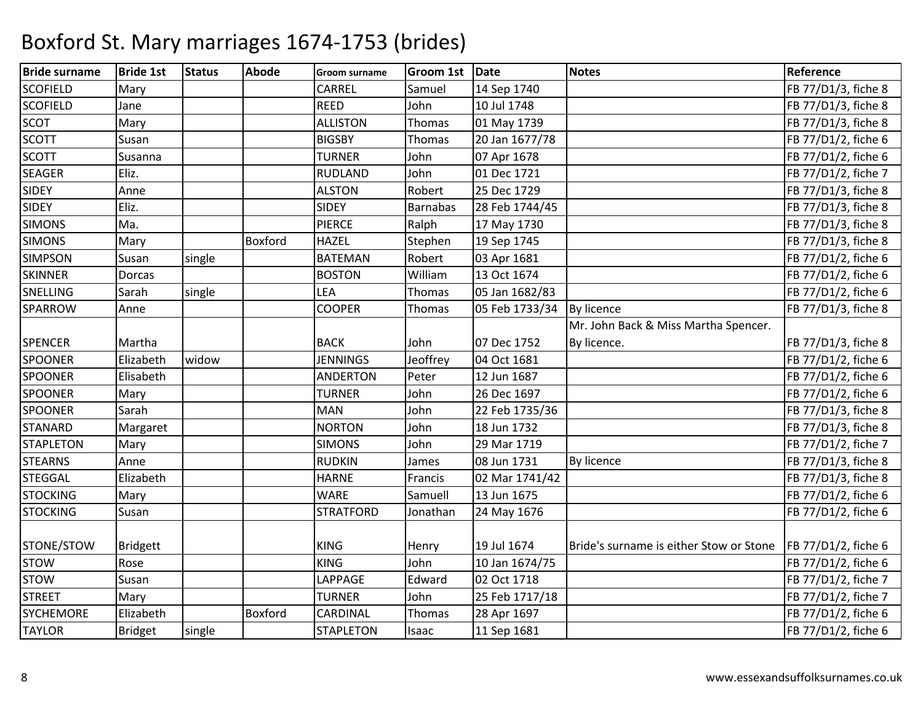| <b>Bride surname</b> | <b>Bride 1st</b> | <b>Status</b> | <b>Abode</b>   | <b>Groom surname</b> | <b>Groom 1st</b> | Date           | <b>Notes</b>                            | Reference                  |
|----------------------|------------------|---------------|----------------|----------------------|------------------|----------------|-----------------------------------------|----------------------------|
| <b>SCOFIELD</b>      | Mary             |               |                | CARREL               | Samuel           | 14 Sep 1740    |                                         | FB 77/D1/3, fiche 8        |
| <b>SCOFIELD</b>      | Jane             |               |                | <b>REED</b>          | John             | 10 Jul 1748    |                                         | FB 77/D1/3, fiche 8        |
| <b>SCOT</b>          | Mary             |               |                | <b>ALLISTON</b>      | Thomas           | 01 May 1739    |                                         | FB 77/D1/3, fiche 8        |
| <b>SCOTT</b>         | Susan            |               |                | <b>BIGSBY</b>        | Thomas           | 20 Jan 1677/78 |                                         | FB 77/D1/2, fiche 6        |
| <b>SCOTT</b>         | Susanna          |               |                | <b>TURNER</b>        | John             | 07 Apr 1678    |                                         | FB 77/D1/2, fiche 6        |
| <b>SEAGER</b>        | Eliz.            |               |                | RUDLAND              | John             | 01 Dec 1721    |                                         | FB 77/D1/2, fiche 7        |
| <b>SIDEY</b>         | Anne             |               |                | <b>ALSTON</b>        | Robert           | 25 Dec 1729    |                                         | FB 77/D1/3, fiche 8        |
| <b>SIDEY</b>         | Eliz.            |               |                | <b>SIDEY</b>         | <b>Barnabas</b>  | 28 Feb 1744/45 |                                         | FB 77/D1/3, fiche 8        |
| <b>SIMONS</b>        | Ma.              |               |                | <b>PIERCE</b>        | Ralph            | 17 May 1730    |                                         | FB 77/D1/3, fiche 8        |
| <b>SIMONS</b>        | Mary             |               | <b>Boxford</b> | <b>HAZEL</b>         | Stephen          | 19 Sep 1745    |                                         | FB 77/D1/3, fiche 8        |
| <b>SIMPSON</b>       | Susan            | single        |                | <b>BATEMAN</b>       | Robert           | 03 Apr 1681    |                                         | FB 77/D1/2, fiche 6        |
| <b>SKINNER</b>       | Dorcas           |               |                | <b>BOSTON</b>        | William          | 13 Oct 1674    |                                         | FB 77/D1/2, fiche 6        |
| <b>SNELLING</b>      | Sarah            | single        |                | <b>LEA</b>           | Thomas           | 05 Jan 1682/83 |                                         | FB 77/D1/2, fiche 6        |
| <b>SPARROW</b>       | Anne             |               |                | <b>COOPER</b>        | Thomas           | 05 Feb 1733/34 | <b>By licence</b>                       | FB 77/D1/3, fiche 8        |
|                      |                  |               |                |                      |                  |                | Mr. John Back & Miss Martha Spencer.    |                            |
| <b>SPENCER</b>       | Martha           |               |                | <b>BACK</b>          | John             | 07 Dec 1752    | By licence.                             | FB 77/D1/3, fiche 8        |
| <b>SPOONER</b>       | Elizabeth        | widow         |                | <b>JENNINGS</b>      | Jeoffrey         | 04 Oct 1681    |                                         | FB 77/D1/2, fiche 6        |
| <b>SPOONER</b>       | Elisabeth        |               |                | <b>ANDERTON</b>      | Peter            | 12 Jun 1687    |                                         | FB 77/D1/2, fiche 6        |
| <b>SPOONER</b>       | Mary             |               |                | <b>TURNER</b>        | John             | 26 Dec 1697    |                                         | FB 77/D1/2, fiche 6        |
| <b>SPOONER</b>       | Sarah            |               |                | <b>MAN</b>           | John             | 22 Feb 1735/36 |                                         | FB 77/D1/3, fiche 8        |
| <b>STANARD</b>       | Margaret         |               |                | <b>NORTON</b>        | John             | 18 Jun 1732    |                                         | FB 77/D1/3, fiche 8        |
| <b>STAPLETON</b>     | Mary             |               |                | <b>SIMONS</b>        | John             | 29 Mar 1719    |                                         | FB 77/D1/2, fiche 7        |
| <b>STEARNS</b>       | Anne             |               |                | <b>RUDKIN</b>        | James            | 08 Jun 1731    | By licence                              | FB 77/D1/3, fiche 8        |
| <b>STEGGAL</b>       | Elizabeth        |               |                | <b>HARNE</b>         | Francis          | 02 Mar 1741/42 |                                         | FB 77/D1/3, fiche 8        |
| <b>STOCKING</b>      | Mary             |               |                | <b>WARE</b>          | Samuell          | 13 Jun 1675    |                                         | FB 77/D1/2, fiche 6        |
| <b>STOCKING</b>      | Susan            |               |                | <b>STRATFORD</b>     | Jonathan         | 24 May 1676    |                                         | FB 77/D1/2, fiche 6        |
| STONE/STOW           | <b>Bridgett</b>  |               |                | <b>KING</b>          | Henry            | 19 Jul 1674    | Bride's surname is either Stow or Stone | <b>FB 77/D1/2, fiche 6</b> |
| <b>STOW</b>          | Rose             |               |                | <b>KING</b>          | John             | 10 Jan 1674/75 |                                         | FB 77/D1/2, fiche 6        |
| <b>STOW</b>          | Susan            |               |                | LAPPAGE              | Edward           | 02 Oct 1718    |                                         | FB 77/D1/2, fiche 7        |
| <b>STREET</b>        | Mary             |               |                | <b>TURNER</b>        | John             | 25 Feb 1717/18 |                                         | FB 77/D1/2, fiche 7        |
| <b>SYCHEMORE</b>     | Elizabeth        |               | <b>Boxford</b> | CARDINAL             | Thomas           | 28 Apr 1697    |                                         | FB 77/D1/2, fiche 6        |
| <b>TAYLOR</b>        | <b>Bridget</b>   | single        |                | <b>STAPLETON</b>     | Isaac            | 11 Sep 1681    |                                         | FB 77/D1/2, fiche 6        |